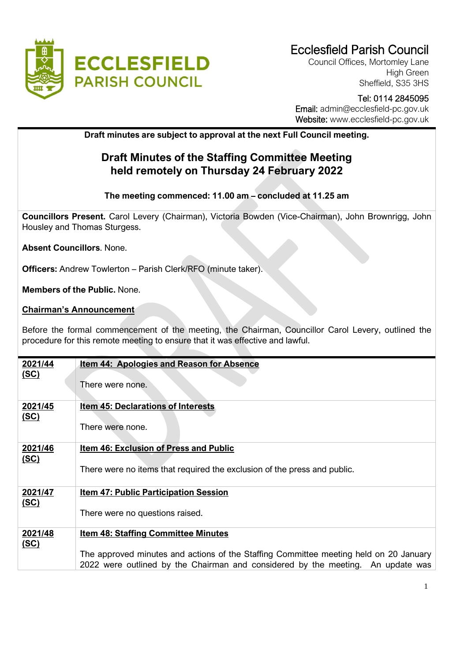

## Ecclesfield Parish Council

Council Offices, Mortomley Lane High Green Sheffield, S35 3HS

# Tel: 0114 2845095

 Email: admin@ecclesfield-pc.gov.uk Website: [www.ecclesfield-pc.gov.uk](http://www.ecclesfield-pc.gov.uk/)

## **Draft minutes are subject to approval at the next Full Council meeting.**

## **Draft Minutes of the Staffing Committee Meeting held remotely on Thursday 24 February 2022**

### **The meeting commenced: 11.00 am – concluded at 11.25 am**

**Councillors Present.** Carol Levery (Chairman), Victoria Bowden (Vice-Chairman), John Brownrigg, John Housley and Thomas Sturgess.

**Absent Councillors**. None.

**Officers:** Andrew Towlerton – Parish Clerk/RFO (minute taker).

**Members of the Public.** None.

#### **Chairman's Announcement**

Before the formal commencement of the meeting, the Chairman, Councillor Carol Levery, outlined the procedure for this remote meeting to ensure that it was effective and lawful.

| 2021/44     | <u>Item 44: Apologies and Reason for Absence</u>                                      |
|-------------|---------------------------------------------------------------------------------------|
| <u>(SC)</u> |                                                                                       |
|             |                                                                                       |
|             | There were none.                                                                      |
|             |                                                                                       |
| 2021/45     | <b>Item 45: Declarations of Interests</b>                                             |
|             |                                                                                       |
| <u>(SC)</u> |                                                                                       |
|             | There were none.                                                                      |
|             |                                                                                       |
| 2021/46     | Item 46: Exclusion of Press and Public                                                |
|             |                                                                                       |
| (SC)        |                                                                                       |
|             | There were no items that required the exclusion of the press and public.              |
|             |                                                                                       |
| 2021/47     | <b>Item 47: Public Participation Session</b>                                          |
|             |                                                                                       |
| (SC)        |                                                                                       |
|             | There were no questions raised.                                                       |
|             |                                                                                       |
| 2021/48     | <b>Item 48: Staffing Committee Minutes</b>                                            |
|             |                                                                                       |
| (SC)        |                                                                                       |
|             | The approved minutes and actions of the Staffing Committee meeting held on 20 January |
|             | 2022 were outlined by the Chairman and considered by the meeting. An update was       |
|             |                                                                                       |